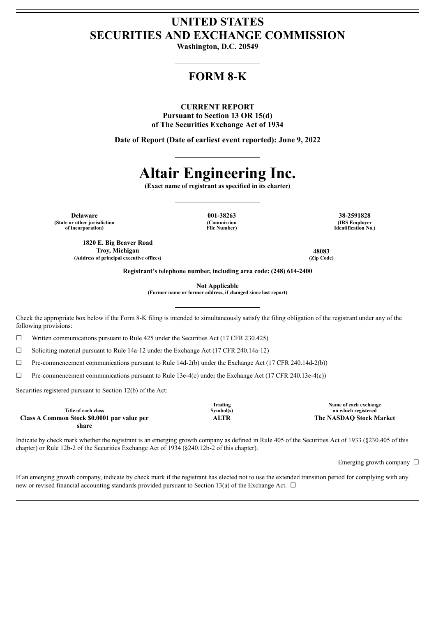# **UNITED STATES SECURITIES AND EXCHANGE COMMISSION**

**Washington, D.C. 20549**

# **FORM 8-K**

## **CURRENT REPORT**

**Pursuant to Section 13 OR 15(d) of The Securities Exchange Act of 1934**

**Date of Report (Date of earliest event reported): June 9, 2022**

# **Altair Engineering Inc.**

**(Exact name of registrant as specified in its charter)**

**Delaware 001-38263 38-2591828 (State or other jurisdiction**

**(Commission File Number)**

**(IRS Employer Identification No.)**

**Registrant's telephone number, including area code: (248) 614-2400**

**Not Applicable**

**(Former name or former address, if changed since last report)**

Check the appropriate box below if the Form 8-K filing is intended to simultaneously satisfy the filing obligation of the registrant under any of the following provisions:

 $\Box$  Written communications pursuant to Rule 425 under the Securities Act (17 CFR 230.425)

☐ Soliciting material pursuant to Rule 14a-12 under the Exchange Act (17 CFR 240.14a-12)

 $\Box$  Pre-commencement communications pursuant to Rule 14d-2(b) under the Exchange Act (17 CFR 240.14d-2(b))

 $\Box$  Pre-commencement communications pursuant to Rule 13e-4(c) under the Exchange Act (17 CFR 240.13e-4(c))

Securities registered pursuant to Section 12(b) of the Act:

|                                             | Trading   | Name of each exchange   |
|---------------------------------------------|-----------|-------------------------|
| Title of each class                         | Svmbol(s) | on which registered     |
| Class A Common Stock \$0.0001 par value per | ALTR      | The NASDAO Stock Market |
| share                                       |           |                         |

Indicate by check mark whether the registrant is an emerging growth company as defined in Rule 405 of the Securities Act of 1933 (§230.405 of this chapter) or Rule 12b-2 of the Securities Exchange Act of 1934 (§240.12b-2 of this chapter).

Emerging growth company  $\Box$ 

If an emerging growth company, indicate by check mark if the registrant has elected not to use the extended transition period for complying with any new or revised financial accounting standards provided pursuant to Section 13(a) of the Exchange Act.  $\Box$ 

**of incorporation)**

**1820 E. Big Beaver Road**

**Troy, Michigan 48083**

**(Address of principal executive offices) (Zip Code)**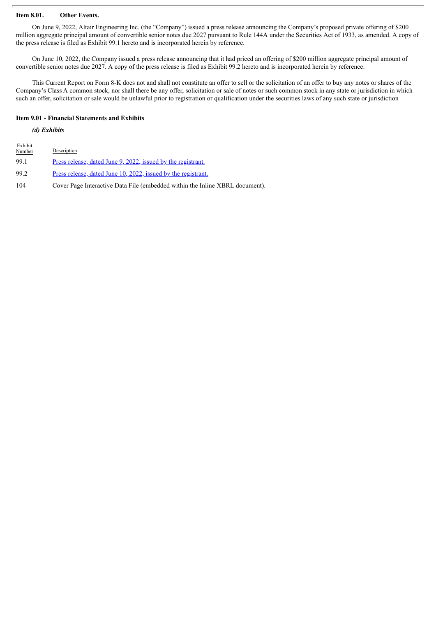#### **Item 8.01. Other Events.**

On June 9, 2022, Altair Engineering Inc. (the "Company") issued a press release announcing the Company's proposed private offering of \$200 million aggregate principal amount of convertible senior notes due 2027 pursuant to Rule 144A under the Securities Act of 1933, as amended. A copy of the press release is filed as Exhibit 99.1 hereto and is incorporated herein by reference.

On June 10, 2022, the Company issued a press release announcing that it had priced an offering of \$200 million aggregate principal amount of convertible senior notes due 2027. A copy of the press release is filed as Exhibit 99.2 hereto and is incorporated herein by reference.

This Current Report on Form 8-K does not and shall not constitute an offer to sell or the solicitation of an offer to buy any notes or shares of the Company's Class A common stock, nor shall there be any offer, solicitation or sale of notes or such common stock in any state or jurisdiction in which such an offer, solicitation or sale would be unlawful prior to registration or qualification under the securities laws of any such state or jurisdiction

#### **Item 9.01 - Financial Statements and Exhibits**

#### *(d) Exhibits*

| Exhibit<br>Number | Description                                                                  |
|-------------------|------------------------------------------------------------------------------|
| 99.1              | <u>Press release, dated June 9, 2022, issued by the registrant.</u>          |
| 99.2              | Press release, dated June 10, 2022, issued by the registrant.                |
| 104               | Cover Page Interactive Data File (embedded within the Inline XBRL document). |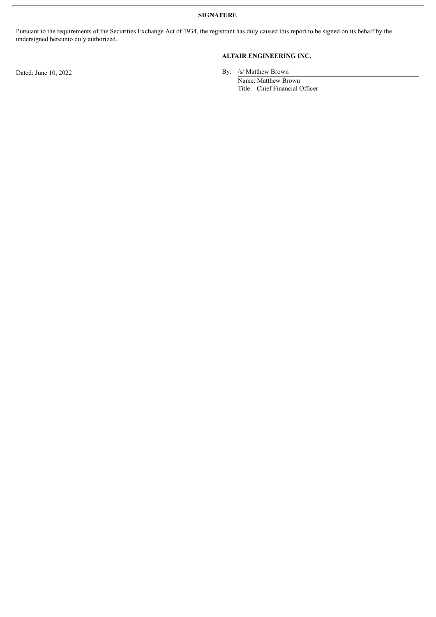**SIGNATURE**

Pursuant to the requirements of the Securities Exchange Act of 1934, the registrant has duly caused this report to be signed on its behalf by the undersigned hereunto duly authorized.

## **ALTAIR ENGINEERING INC.**

Dated: June 10, 2022 By: /s/ Matthew Brown

Name: Matthew Brown Title: Chief Financial Officer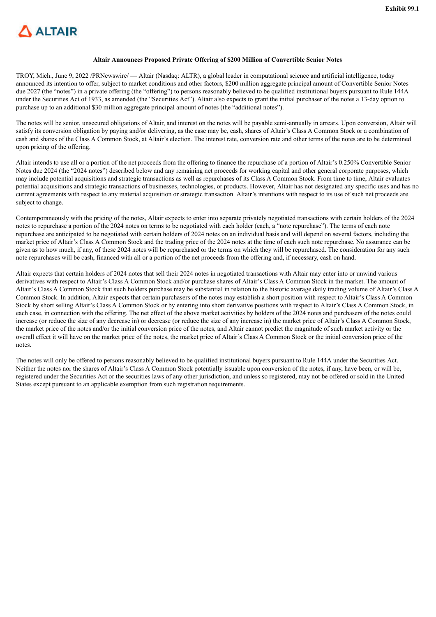<span id="page-3-0"></span>

#### **Altair Announces Proposed Private Offering of \$200 Million of Convertible Senior Notes**

TROY, Mich., June 9, 2022 /PRNewswire/ — Altair (Nasdaq: ALTR), a global leader in computational science and artificial intelligence, today announced its intention to offer, subject to market conditions and other factors, \$200 million aggregate principal amount of Convertible Senior Notes due 2027 (the "notes") in a private offering (the "offering") to persons reasonably believed to be qualified institutional buyers pursuant to Rule 144A under the Securities Act of 1933, as amended (the "Securities Act"). Altair also expects to grant the initial purchaser of the notes a 13-day option to purchase up to an additional \$30 million aggregate principal amount of notes (the "additional notes").

The notes will be senior, unsecured obligations of Altair, and interest on the notes will be payable semi-annually in arrears. Upon conversion, Altair will satisfy its conversion obligation by paying and/or delivering, as the case may be, cash, shares of Altair's Class A Common Stock or a combination of cash and shares of the Class A Common Stock, at Altair's election. The interest rate, conversion rate and other terms of the notes are to be determined upon pricing of the offering.

Altair intends to use all or a portion of the net proceeds from the offering to finance the repurchase of a portion of Altair's 0.250% Convertible Senior Notes due 2024 (the "2024 notes") described below and any remaining net proceeds for working capital and other general corporate purposes, which may include potential acquisitions and strategic transactions as well as repurchases of its Class A Common Stock. From time to time, Altair evaluates potential acquisitions and strategic transactions of businesses, technologies, or products. However, Altair has not designated any specific uses and has no current agreements with respect to any material acquisition or strategic transaction. Altair's intentions with respect to its use of such net proceeds are subject to change.

Contemporaneously with the pricing of the notes, Altair expects to enter into separate privately negotiated transactions with certain holders of the 2024 notes to repurchase a portion of the 2024 notes on terms to be negotiated with each holder (each, a "note repurchase"). The terms of each note repurchase are anticipated to be negotiated with certain holders of 2024 notes on an individual basis and will depend on several factors, including the market price of Altair's Class A Common Stock and the trading price of the 2024 notes at the time of each such note repurchase. No assurance can be given as to how much, if any, of these 2024 notes will be repurchased or the terms on which they will be repurchased. The consideration for any such note repurchases will be cash, financed with all or a portion of the net proceeds from the offering and, if necessary, cash on hand.

Altair expects that certain holders of 2024 notes that sell their 2024 notes in negotiated transactions with Altair may enter into or unwind various derivatives with respect to Altair's Class A Common Stock and/or purchase shares of Altair's Class A Common Stock in the market. The amount of Altair's Class A Common Stock that such holders purchase may be substantial in relation to the historic average daily trading volume of Altair's Class A Common Stock. In addition, Altair expects that certain purchasers of the notes may establish a short position with respect to Altair's Class A Common Stock by short selling Altair's Class A Common Stock or by entering into short derivative positions with respect to Altair's Class A Common Stock, in each case, in connection with the offering. The net effect of the above market activities by holders of the 2024 notes and purchasers of the notes could increase (or reduce the size of any decrease in) or decrease (or reduce the size of any increase in) the market price of Altair's Class A Common Stock, the market price of the notes and/or the initial conversion price of the notes, and Altair cannot predict the magnitude of such market activity or the overall effect it will have on the market price of the notes, the market price of Altair's Class A Common Stock or the initial conversion price of the notes.

The notes will only be offered to persons reasonably believed to be qualified institutional buyers pursuant to Rule 144A under the Securities Act. Neither the notes nor the shares of Altair's Class A Common Stock potentially issuable upon conversion of the notes, if any, have been, or will be, registered under the Securities Act or the securities laws of any other jurisdiction, and unless so registered, may not be offered or sold in the United States except pursuant to an applicable exemption from such registration requirements.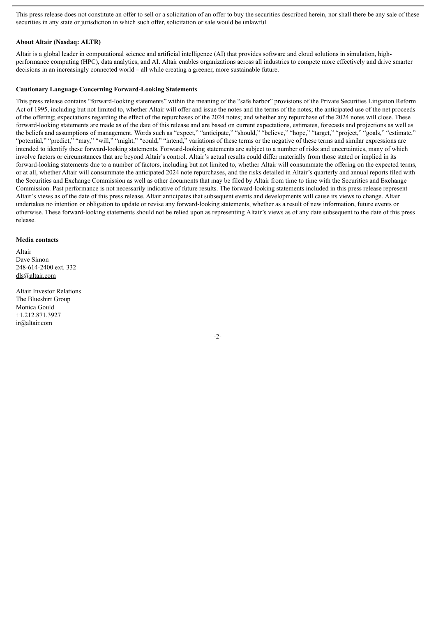This press release does not constitute an offer to sell or a solicitation of an offer to buy the securities described herein, nor shall there be any sale of these securities in any state or jurisdiction in which such offer, solicitation or sale would be unlawful.

#### **About Altair (Nasdaq: ALTR)**

Altair is a global leader in computational science and artificial intelligence (AI) that provides software and cloud solutions in simulation, highperformance computing (HPC), data analytics, and AI. Altair enables organizations across all industries to compete more effectively and drive smarter decisions in an increasingly connected world – all while creating a greener, more sustainable future.

#### **Cautionary Language Concerning Forward-Looking Statements**

This press release contains "forward-looking statements" within the meaning of the "safe harbor" provisions of the Private Securities Litigation Reform Act of 1995, including but not limited to, whether Altair will offer and issue the notes and the terms of the notes; the anticipated use of the net proceeds of the offering; expectations regarding the effect of the repurchases of the 2024 notes; and whether any repurchase of the 2024 notes will close. These forward-looking statements are made as of the date of this release and are based on current expectations, estimates, forecasts and projections as well as the beliefs and assumptions of management. Words such as "expect," "anticipate," "should," "believe," "hope," "target," "project," "goals," "estimate," "potential," "predict," "may," "will," "might," "could," "intend," variations of these terms or the negative of these terms and similar expressions are intended to identify these forward-looking statements. Forward-looking statements are subject to a number of risks and uncertainties, many of which involve factors or circumstances that are beyond Altair's control. Altair's actual results could differ materially from those stated or implied in its forward-looking statements due to a number of factors, including but not limited to, whether Altair will consummate the offering on the expected terms, or at all, whether Altair will consummate the anticipated 2024 note repurchases, and the risks detailed in Altair's quarterly and annual reports filed with the Securities and Exchange Commission as well as other documents that may be filed by Altair from time to time with the Securities and Exchange Commission. Past performance is not necessarily indicative of future results. The forward-looking statements included in this press release represent Altair's views as of the date of this press release. Altair anticipates that subsequent events and developments will cause its views to change. Altair undertakes no intention or obligation to update or revise any forward-looking statements, whether as a result of new information, future events or otherwise. These forward-looking statements should not be relied upon as representing Altair's views as of any date subsequent to the date of this press release.

#### **Media contacts**

Altair Dave Simon 248-614-2400 ext. 332 dls@altair.com

Altair Investor Relations The Blueshirt Group Monica Gould +1.212.871.3927 ir@altair.com

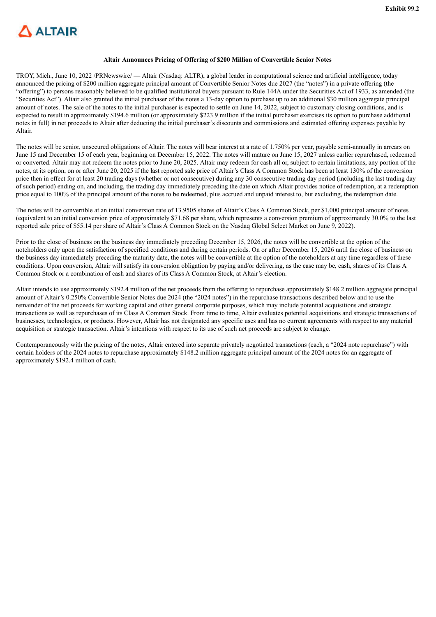<span id="page-5-0"></span>

## **Altair Announces Pricing of Offering of \$200 Million of Convertible Senior Notes**

TROY, Mich., June 10, 2022 /PRNewswire/ — Altair (Nasdaq: ALTR), a global leader in computational science and artificial intelligence, today announced the pricing of \$200 million aggregate principal amount of Convertible Senior Notes due 2027 (the "notes") in a private offering (the "offering") to persons reasonably believed to be qualified institutional buyers pursuant to Rule 144A under the Securities Act of 1933, as amended (the "Securities Act"). Altair also granted the initial purchaser of the notes a 13-day option to purchase up to an additional \$30 million aggregate principal amount of notes. The sale of the notes to the initial purchaser is expected to settle on June 14, 2022, subject to customary closing conditions, and is expected to result in approximately \$194.6 million (or approximately \$223.9 million if the initial purchaser exercises its option to purchase additional notes in full) in net proceeds to Altair after deducting the initial purchaser's discounts and commissions and estimated offering expenses payable by Altair.

The notes will be senior, unsecured obligations of Altair. The notes will bear interest at a rate of 1.750% per year, payable semi-annually in arrears on June 15 and December 15 of each year, beginning on December 15, 2022. The notes will mature on June 15, 2027 unless earlier repurchased, redeemed or converted. Altair may not redeem the notes prior to June 20, 2025. Altair may redeem for cash all or, subject to certain limitations, any portion of the notes, at its option, on or after June 20, 2025 if the last reported sale price of Altair's Class A Common Stock has been at least 130% of the conversion price then in effect for at least 20 trading days (whether or not consecutive) during any 30 consecutive trading day period (including the last trading day of such period) ending on, and including, the trading day immediately preceding the date on which Altair provides notice of redemption, at a redemption price equal to 100% of the principal amount of the notes to be redeemed, plus accrued and unpaid interest to, but excluding, the redemption date.

The notes will be convertible at an initial conversion rate of 13.9505 shares of Altair's Class A Common Stock, per \$1,000 principal amount of notes (equivalent to an initial conversion price of approximately \$71.68 per share, which represents a conversion premium of approximately 30.0% to the last reported sale price of \$55.14 per share of Altair's Class A Common Stock on the Nasdaq Global Select Market on June 9, 2022).

Prior to the close of business on the business day immediately preceding December 15, 2026, the notes will be convertible at the option of the noteholders only upon the satisfaction of specified conditions and during certain periods. On or after December 15, 2026 until the close of business on the business day immediately preceding the maturity date, the notes will be convertible at the option of the noteholders at any time regardless of these conditions. Upon conversion, Altair will satisfy its conversion obligation by paying and/or delivering, as the case may be, cash, shares of its Class A Common Stock or a combination of cash and shares of its Class A Common Stock, at Altair's election.

Altair intends to use approximately \$192.4 million of the net proceeds from the offering to repurchase approximately \$148.2 million aggregate principal amount of Altair's 0.250% Convertible Senior Notes due 2024 (the "2024 notes") in the repurchase transactions described below and to use the remainder of the net proceeds for working capital and other general corporate purposes, which may include potential acquisitions and strategic transactions as well as repurchases of its Class A Common Stock. From time to time, Altair evaluates potential acquisitions and strategic transactions of businesses, technologies, or products. However, Altair has not designated any specific uses and has no current agreements with respect to any material acquisition or strategic transaction. Altair's intentions with respect to its use of such net proceeds are subject to change.

Contemporaneously with the pricing of the notes, Altair entered into separate privately negotiated transactions (each, a "2024 note repurchase") with certain holders of the 2024 notes to repurchase approximately \$148.2 million aggregate principal amount of the 2024 notes for an aggregate of approximately \$192.4 million of cash.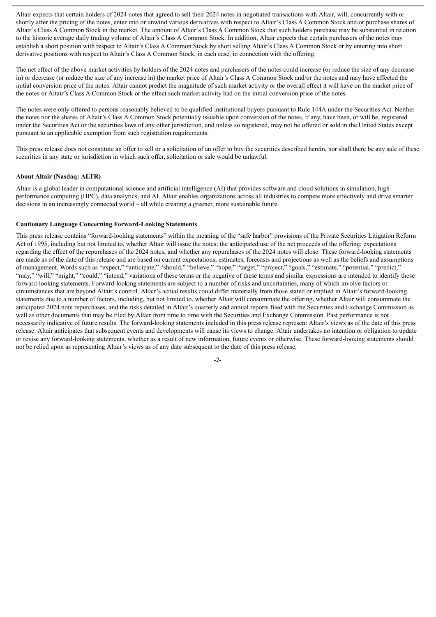Altair expects that certain holders of 2024 notes that agreed to sell their 2024 notes in negotiated transactions with Altair, will, concurrently with or shortly after the pricing of the notes, enter into or unwind various derivatives with respect to Altair's Class A Common Stock and/or purchase shares of Altair's Class A Common Stock in the market. The amount of Altair's Class A Common Stock that such holders purchase may be substantial in relation to the historic average daily trading volume of Altair's Class A Common Stock. In addition, Altair expects that certain purchasers of the notes may establish a short position with respect to Altair's Class A Common Stock by short selling Altair's Class A Common Stock or by entering into short derivative positions with respect to Altair's Class A Common Stock, in each case, in connection with the offering.

The net effect of the above market activities by holders of the 2024 notes and purchasers of the notes could increase (or reduce the size of any decrease in) or decrease (or reduce the size of any increase in) the market price of Altair's Class A Common Stock and/or the notes and may have affected the initial conversion price of the notes. Altair cannot predict the magnitude of such market activity or the overall effect it will have on the market price of the notes or Altair's Class A Common Stock or the effect such market activity had on the initial conversion price of the notes.

The notes were only offered to persons reasonably believed to be qualified institutional buyers pursuant to Rule 144A under the Securities Act. Neither the notes nor the shares of Altair's Class A Common Stock potentially issuable upon conversion of the notes, if any, have been, or will be, registered under the Securities Act or the securities laws of any other jurisdiction, and unless so registered, may not be offered or sold in the United States except pursuant to an applicable exemption from such registration requirements.

This press release does not constitute an offer to sell or a solicitation of an offer to buy the securities described herein, nor shall there be any sale of these securities in any state or jurisdiction in which such offer, solicitation or sale would be unlawful.

#### **About Altair (Nasdaq: ALTR)**

Altair is a global leader in computational science and artificial intelligence (AI) that provides software and cloud solutions in simulation, highperformance computing (HPC), data analytics, and AI. Altair enables organizations across all industries to compete more effectively and drive smarter decisions in an increasingly connected world – all while creating a greener, more sustainable future.

#### **Cautionary Language Concerning Forward-Looking Statements**

This press release contains "forward-looking statements" within the meaning of the "safe harbor" provisions of the Private Securities Litigation Reform Act of 1995, including but not limited to, whether Altair will issue the notes; the anticipated use of the net proceeds of the offering; expectations regarding the effect of the repurchases of the 2024 notes; and whether any repurchases of the 2024 notes will close. These forward-looking statements are made as of the date of this release and are based on current expectations, estimates, forecasts and projections as well as the beliefs and assumptions of management. Words such as "expect," "anticipate," "should," "believe," "hope," "target," "project," "goals," "estimate," "potential," "predict," "may," "will," "might," "could," "intend," variations of these terms or the negative of these terms and similar expressions are intended to identify these forward-looking statements. Forward-looking statements are subject to a number of risks and uncertainties, many of which involve factors or circumstances that are beyond Altair's control. Altair's actual results could differ materially from those stated or implied in Altair's forward-looking statements due to a number of factors, including, but not limited to, whether Altair will consummate the offering, whether Altair will consummate the anticipated 2024 note repurchases, and the risks detailed in Altair's quarterly and annual reports filed with the Securities and Exchange Commission as well as other documents that may be filed by Altair from time to time with the Securities and Exchange Commission. Past performance is not necessarily indicative of future results. The forward-looking statements included in this press release represent Altair's views as of the date of this press release. Altair anticipates that subsequent events and developments will cause its views to change. Altair undertakes no intention or obligation to update or revise any forward-looking statements, whether as a result of new information, future events or otherwise. These forward-looking statements should not be relied upon as representing Altair's views as of any date subsequent to the date of this press release.

-2-